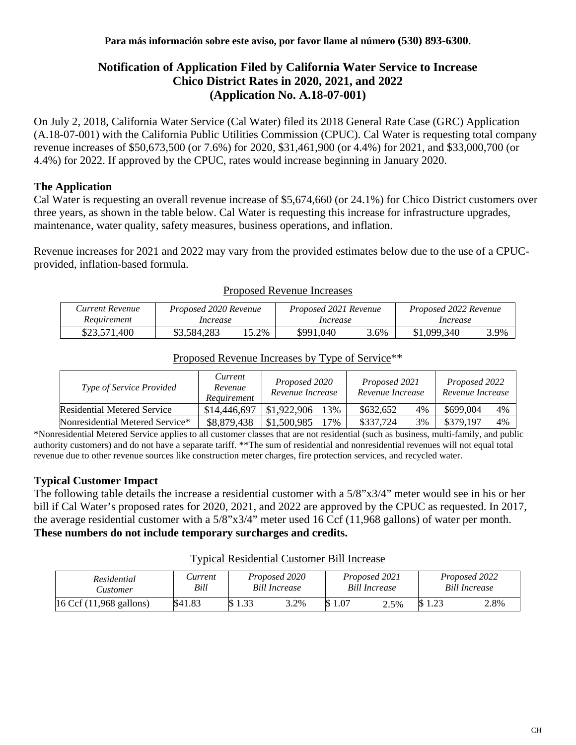# **Notification of Application Filed by California Water Service to Increase Chico District Rates in 2020, 2021, and 2022 (Application No. A.18-07-001)**

On July 2, 2018, California Water Service (Cal Water) filed its 2018 General Rate Case (GRC) Application (A.18-07-001) with the California Public Utilities Commission (CPUC). Cal Water is requesting total company revenue increases of \$50,673,500 (or 7.6%) for 2020, \$31,461,900 (or 4.4%) for 2021, and \$33,000,700 (or 4.4%) for 2022. If approved by the CPUC, rates would increase beginning in January 2020.

### **The Application**

Cal Water is requesting an overall revenue increase of \$5,674,660 (or 24.1%) for Chico District customers over three years, as shown in the table below. Cal Water is requesting this increase for infrastructure upgrades, maintenance, water quality, safety measures, business operations, and inflation.

Revenue increases for 2021 and 2022 may vary from the provided estimates below due to the use of a CPUCprovided, inflation-based formula.

| Current Revenue | Proposed 2020 Revenue |      | Proposed 2021 Revenue |      | Proposed 2022 Revenue |      |  |
|-----------------|-----------------------|------|-----------------------|------|-----------------------|------|--|
| Requirement     | Increase              |      | Increase              |      | Increase              |      |  |
| \$23,571,400    | \$3,584,283           | 5.2% | \$991,040             | 3.6% | \$1,099,340           | 3.9% |  |

#### Proposed Revenue Increases

| Type of Service Provided        | Current<br>Revenue<br>Requirement | Proposed 2020<br>Revenue Increase | Proposed 2021<br>Revenue Increase | Proposed 2022<br>Revenue Increase |  |
|---------------------------------|-----------------------------------|-----------------------------------|-----------------------------------|-----------------------------------|--|
| Residential Metered Service     | \$14,446,697                      | 13%<br>\$1,922,906                | \$632,652<br>4%                   | 4%<br>\$699,004                   |  |
| Nonresidential Metered Service* | \$8,879,438                       | 17%<br>\$1,500,985                | 3%<br>\$337,724                   | \$379,197<br>4%                   |  |

# Proposed Revenue Increases by Type of Service\*\*

\*Nonresidential Metered Service applies to all customer classes that are not residential (such as business, multi-family, and public authority customers) and do not have a separate tariff. \*\*The sum of residential and nonresidential revenues will not equal total revenue due to other revenue sources like construction meter charges, fire protection services, and recycled water.

### **Typical Customer Impact**

The following table details the increase a residential customer with a 5/8"x3/4" meter would see in his or her bill if Cal Water's proposed rates for 2020, 2021, and 2022 are approved by the CPUC as requested. In 2017, the average residential customer with a 5/8"x3/4" meter used 16 Ccf (11,968 gallons) of water per month. **These numbers do not include temporary surcharges and credits.**

| Residential<br><b>Customer</b> | <i>Current</i><br>Bill | Proposed 2020<br><b>Bill Increase</b> |      | Proposed 2021<br><b>Bill Increase</b> |      | Proposed 2022<br><b>Bill Increase</b> |      |
|--------------------------------|------------------------|---------------------------------------|------|---------------------------------------|------|---------------------------------------|------|
| 16 Ccf (11,968 gallons)        | \$41.83                | 1.33                                  | 3.2% | \$1.07                                | 2.5% |                                       | 2.8% |

#### Typical Residential Customer Bill Increase